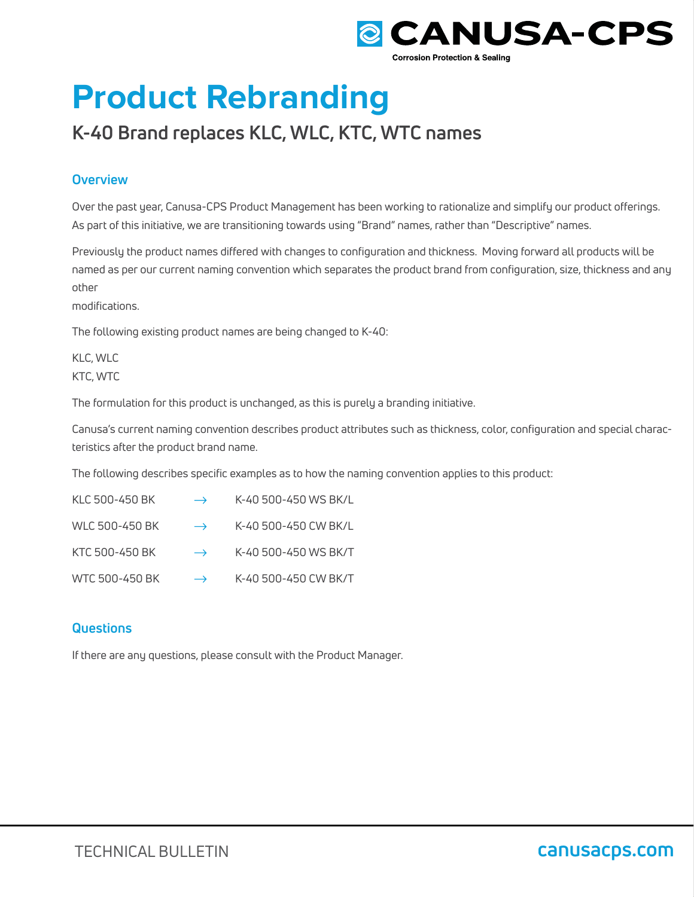

# **Product Rebranding**

# **K-40 Brand replaces KLC, WLC, KTC, WTC names**

## **Overview**

Over the past year, Canusa-CPS Product Management has been working to rationalize and simplify our product offerings. As part of this initiative, we are transitioning towards using "Brand" names, rather than "Descriptive" names.

Previously the product names differed with changes to configuration and thickness. Moving forward all products will be named as per our current naming convention which separates the product brand from configuration, size, thickness and any other

modifications.

The following existing product names are being changed to K-40:

KLC, WLC KTC, WTC

The formulation for this product is unchanged, as this is purely a branding initiative.

Canusa's current naming convention describes product attributes such as thickness, color, configuration and special characteristics after the product brand name.

The following describes specific examples as to how the naming convention applies to this product:

| KLC 500-450 BK | $\rightarrow$ | K-40 500-450 WS BK/L |
|----------------|---------------|----------------------|
| WLC 500-450 BK | $\rightarrow$ | K-40 500-450 CW BK/L |
| KTC 500-450 BK | $\rightarrow$ | K-40 500-450 WS BK/T |
| WTC 500-450 BK | $\rightarrow$ | K-40 500-450 CW BK/T |

## **Questions**

If there are any questions, please consult with the Product Manager.